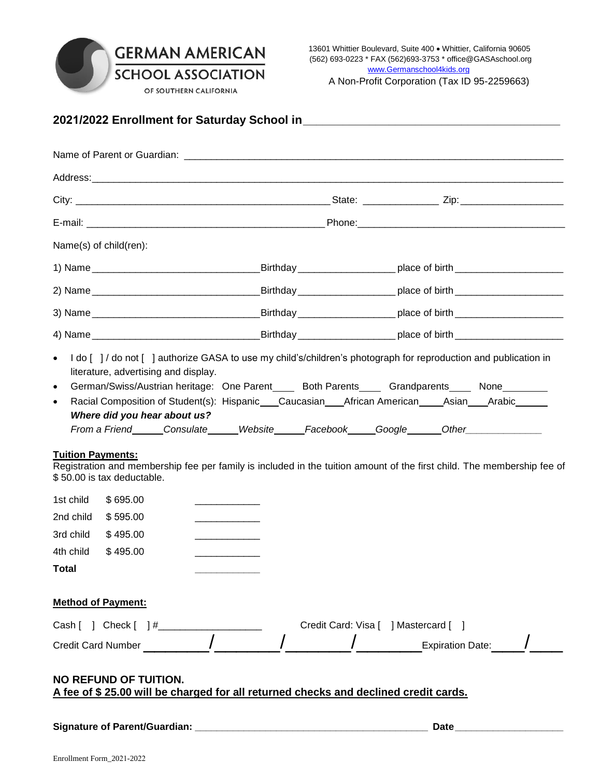## **GERMAN AMERICAN**<br>SCHOOL ASSOCIATION OF SOUTHERN CALIFORNIA

A Non-Profit Corporation (Tax ID 95-2259663)

| Name(s) of child(ren):<br>I do [ ] / do not [ ] authorize GASA to use my child's/children's photograph for reproduction and publication in<br>$\bullet$<br>literature, advertising and display.<br>German/Swiss/Austrian heritage: One Parent_____ Both Parents_____ Grandparents_____ None________<br>$\bullet$<br>$\bullet$<br><b>Tuition Payments:</b> |                      |                                                                       |                                              | Address: the contract of the contract of the contract of the contract of the contract of the contract of the contract of the contract of the contract of the contract of the contract of the contract of the contract of the c |  |  |                                                                                                                        |
|-----------------------------------------------------------------------------------------------------------------------------------------------------------------------------------------------------------------------------------------------------------------------------------------------------------------------------------------------------------|----------------------|-----------------------------------------------------------------------|----------------------------------------------|--------------------------------------------------------------------------------------------------------------------------------------------------------------------------------------------------------------------------------|--|--|------------------------------------------------------------------------------------------------------------------------|
|                                                                                                                                                                                                                                                                                                                                                           |                      |                                                                       |                                              |                                                                                                                                                                                                                                |  |  |                                                                                                                        |
|                                                                                                                                                                                                                                                                                                                                                           |                      |                                                                       |                                              |                                                                                                                                                                                                                                |  |  |                                                                                                                        |
|                                                                                                                                                                                                                                                                                                                                                           |                      |                                                                       |                                              |                                                                                                                                                                                                                                |  |  |                                                                                                                        |
|                                                                                                                                                                                                                                                                                                                                                           |                      |                                                                       |                                              |                                                                                                                                                                                                                                |  |  |                                                                                                                        |
|                                                                                                                                                                                                                                                                                                                                                           |                      |                                                                       |                                              |                                                                                                                                                                                                                                |  |  |                                                                                                                        |
|                                                                                                                                                                                                                                                                                                                                                           |                      |                                                                       |                                              |                                                                                                                                                                                                                                |  |  |                                                                                                                        |
|                                                                                                                                                                                                                                                                                                                                                           |                      |                                                                       |                                              |                                                                                                                                                                                                                                |  |  |                                                                                                                        |
|                                                                                                                                                                                                                                                                                                                                                           |                      |                                                                       |                                              |                                                                                                                                                                                                                                |  |  |                                                                                                                        |
|                                                                                                                                                                                                                                                                                                                                                           |                      |                                                                       |                                              |                                                                                                                                                                                                                                |  |  |                                                                                                                        |
| \$50.00 is tax deductable.<br>1st child<br>2nd child \$595.00<br>3rd child<br>4th child \$495.00<br><b>Total</b>                                                                                                                                                                                                                                          | \$695.00<br>\$495.00 | Where did you hear about us?<br>and the control of the control of the | the control of the control of the control of | Racial Composition of Student(s): Hispanic___Caucasian___African American____Asian___Arabic_____<br>From a Friend______Consulate______Website_____Facebook_____Google______Other_______________________                        |  |  | Registration and membership fee per family is included in the tuition amount of the first child. The membership fee of |
| <b>Method of Payment:</b>                                                                                                                                                                                                                                                                                                                                 |                      |                                                                       |                                              |                                                                                                                                                                                                                                |  |  |                                                                                                                        |
|                                                                                                                                                                                                                                                                                                                                                           |                      |                                                                       |                                              |                                                                                                                                                                                                                                |  |  |                                                                                                                        |
|                                                                                                                                                                                                                                                                                                                                                           |                      |                                                                       |                                              |                                                                                                                                                                                                                                |  |  |                                                                                                                        |
| <b>NO REFUND OF TUITION.</b>                                                                                                                                                                                                                                                                                                                              |                      |                                                                       |                                              | A fee of \$25.00 will be charged for all returned checks and declined credit cards.                                                                                                                                            |  |  |                                                                                                                        |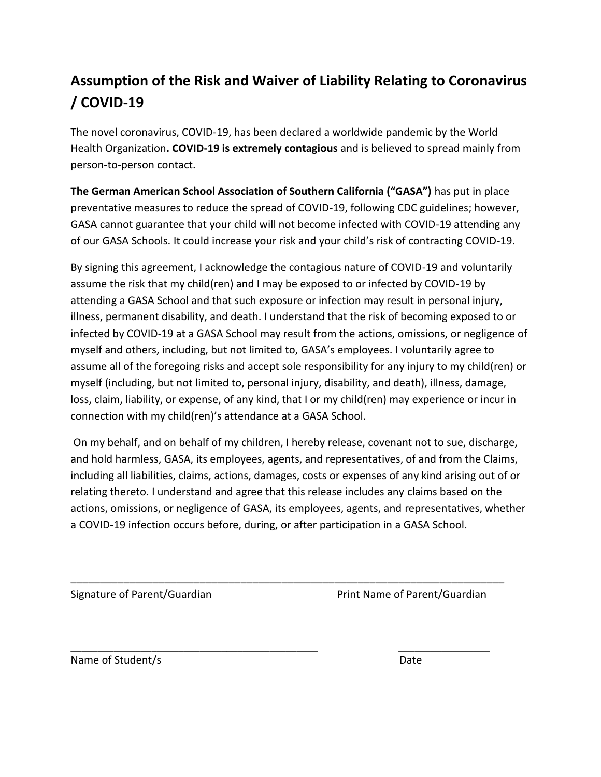## **Assumption of the Risk and Waiver of Liability Relating to Coronavirus / COVID-19**

The novel coronavirus, COVID-19, has been declared a worldwide pandemic by the World Health Organization**. COVID-19 is extremely contagious** and is believed to spread mainly from person-to-person contact.

**The German American School Association of Southern California ("GASA")** has put in place preventative measures to reduce the spread of COVID-19, following CDC guidelines; however, GASA cannot guarantee that your child will not become infected with COVID-19 attending any of our GASA Schools. It could increase your risk and your child's risk of contracting COVID-19.

By signing this agreement, I acknowledge the contagious nature of COVID-19 and voluntarily assume the risk that my child(ren) and I may be exposed to or infected by COVID-19 by attending a GASA School and that such exposure or infection may result in personal injury, illness, permanent disability, and death. I understand that the risk of becoming exposed to or infected by COVID-19 at a GASA School may result from the actions, omissions, or negligence of myself and others, including, but not limited to, GASA's employees. I voluntarily agree to assume all of the foregoing risks and accept sole responsibility for any injury to my child(ren) or myself (including, but not limited to, personal injury, disability, and death), illness, damage, loss, claim, liability, or expense, of any kind, that I or my child(ren) may experience or incur in connection with my child(ren)'s attendance at a GASA School.

On my behalf, and on behalf of my children, I hereby release, covenant not to sue, discharge, and hold harmless, GASA, its employees, agents, and representatives, of and from the Claims, including all liabilities, claims, actions, damages, costs or expenses of any kind arising out of or relating thereto. I understand and agree that this release includes any claims based on the actions, omissions, or negligence of GASA, its employees, agents, and representatives, whether a COVID-19 infection occurs before, during, or after participation in a GASA School.

\_\_\_\_\_\_\_\_\_\_\_\_\_\_\_\_\_\_\_\_\_\_\_\_\_\_\_\_\_\_\_\_\_\_\_\_\_\_\_\_\_\_\_\_\_\_\_\_\_\_\_\_\_\_\_\_\_\_\_\_\_\_\_\_\_\_\_\_\_\_\_\_\_\_

\_\_\_\_\_\_\_\_\_\_\_\_\_\_\_\_\_\_\_\_\_\_\_\_\_\_\_\_\_\_\_\_\_\_\_\_\_\_\_\_\_\_\_\_\_\_ \_\_\_\_\_\_\_\_\_\_\_\_\_\_\_\_\_

Signature of Parent/Guardian **Print Name of Parent/Guardian** 

Name of Student/s Date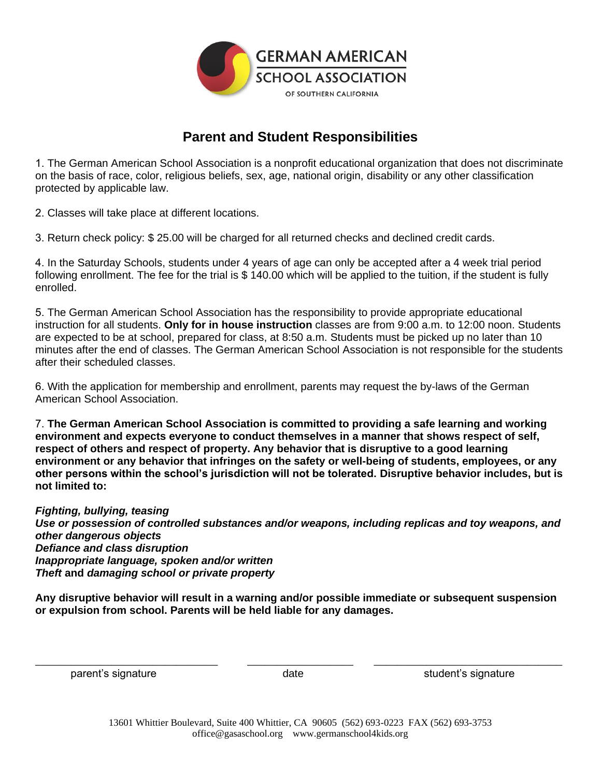

## **Parent and Student Responsibilities**

1. The German American School Association is a nonprofit educational organization that does not discriminate on the basis of race, color, religious beliefs, sex, age, national origin, disability or any other classification protected by applicable law.

2. Classes will take place at different locations.

3. Return check policy: \$ 25.00 will be charged for all returned checks and declined credit cards.

4. In the Saturday Schools, students under 4 years of age can only be accepted after a 4 week trial period following enrollment. The fee for the trial is \$ 140.00 which will be applied to the tuition, if the student is fully enrolled.

5. The German American School Association has the responsibility to provide appropriate educational instruction for all students. **Only for in house instruction** classes are from 9:00 a.m. to 12:00 noon. Students are expected to be at school, prepared for class, at 8:50 a.m. Students must be picked up no later than 10 minutes after the end of classes. The German American School Association is not responsible for the students after their scheduled classes.

6. With the application for membership and enrollment, parents may request the by-laws of the German American School Association.

7. **The German American School Association is committed to providing a safe learning and working environment and expects everyone to conduct themselves in a manner that shows respect of self, respect of others and respect of property. Any behavior that is disruptive to a good learning environment or any behavior that infringes on the safety or well-being of students, employees, or any other persons within the school's jurisdiction will not be tolerated. Disruptive behavior includes, but is not limited to:**

*Fighting, bullying, teasing*

*Use or possession of controlled substances and/or weapons, including replicas and toy weapons, and other dangerous objects Defiance and class disruption Inappropriate language, spoken and/or written Theft* **and** *damaging school or private property* 

**Any disruptive behavior will result in a warning and/or possible immediate or subsequent suspension or expulsion from school. Parents will be held liable for any damages.**

\_\_\_\_\_\_\_\_\_\_\_\_\_\_\_\_\_\_\_\_\_\_\_\_\_\_\_\_\_\_\_ \_\_\_\_\_\_\_\_\_\_\_\_\_\_\_\_\_\_ \_\_\_\_\_\_\_\_\_\_\_\_\_\_\_\_\_\_\_\_\_\_\_\_\_\_\_\_\_\_\_\_ parent's signature and student's signature student's signature

> 13601 Whittier Boulevard, Suite 400 Whittier, CA 90605 (562) 693-0223 FAX (562) 693-3753 office@gasaschool.org www.germanschool4kids.org